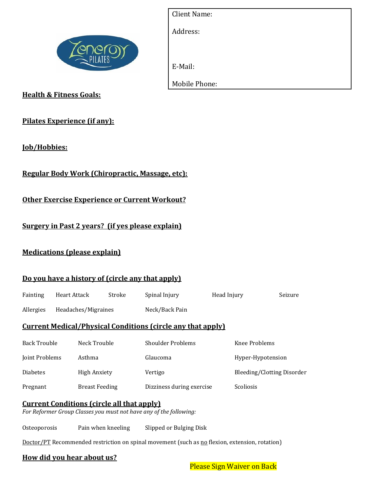

| <b>Client Name:</b> |  |
|---------------------|--|
| Address:            |  |
|                     |  |
| E-Mail:             |  |
| Mobile Phone:       |  |
|                     |  |

**Health & Fitness Goals:**

## **Pilates Experience (if any):**

**Job/Hobbies:**

**Regular Body Work (Chiropractic, Massage, etc):**

**Other Exercise Experience or Current Workout?**

**Surgery in Past 2 years? (if yes please explain)**

## **Medications (please explain)**

#### **Do you have a history of (circle any that apply)**

| Fainting                                                           | <b>Heart Attack</b> |                     | Stroke         | Spinal Injury            | Head Injury |                            | Seizure |  |
|--------------------------------------------------------------------|---------------------|---------------------|----------------|--------------------------|-------------|----------------------------|---------|--|
| Allergies                                                          | Headaches/Migraines |                     | Neck/Back Pain |                          |             |                            |         |  |
| <b>Current Medical/Physical Conditions (circle any that apply)</b> |                     |                     |                |                          |             |                            |         |  |
| <b>Back Trouble</b>                                                |                     | Neck Trouble        |                | <b>Shoulder Problems</b> |             | Knee Problems              |         |  |
| Joint Problems                                                     |                     | Asthma              |                | Glaucoma                 |             | Hyper-Hypotension          |         |  |
| <b>Diabetes</b>                                                    |                     | <b>High Anxiety</b> |                | Vertigo                  |             | Bleeding/Clotting Disorder |         |  |

## **Current Conditions (circle all that apply)**

*For Reformer Group Classes you must not have any of the following:*

Osteoporosis Pain when kneeling Slipped or Bulging Disk

Doctor/PT Recommended restriction on spinal movement (such as no flexion, extension, rotation)

Pregnant Breast Feeding Dizziness during exercise Scoliosis

#### **How did you hear about us?**

Please Sign Waiver on Back